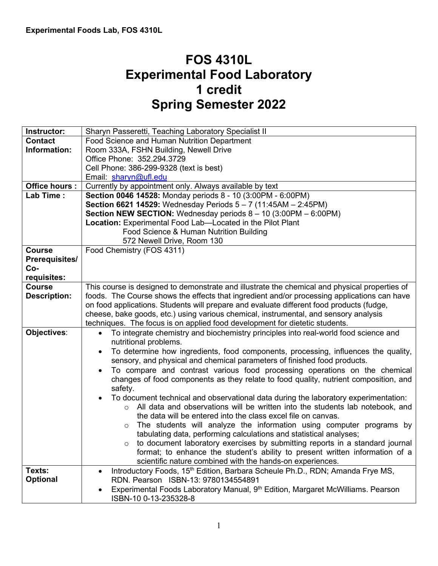# **FOS 4310L Experimental Food Laboratory 1 credit Spring Semester 2022**

| Instructor:           | Sharyn Passeretti, Teaching Laboratory Specialist II                                                   |  |  |  |  |
|-----------------------|--------------------------------------------------------------------------------------------------------|--|--|--|--|
| <b>Contact</b>        | Food Science and Human Nutrition Department                                                            |  |  |  |  |
| Information:          | Room 333A, FSHN Building, Newell Drive                                                                 |  |  |  |  |
|                       | Office Phone: 352.294.3729                                                                             |  |  |  |  |
|                       | Cell Phone: 386-299-9328 (text is best)                                                                |  |  |  |  |
|                       | Email: sharyn@ufl.edu                                                                                  |  |  |  |  |
| Office hours :        | Currently by appointment only. Always available by text                                                |  |  |  |  |
| Lab Time:             | Section 0046 14528: Monday periods 8 - 10 (3:00PM - 6:00PM)                                            |  |  |  |  |
|                       | Section 6621 14529: Wednesday Periods $5 - 7$ (11:45AM - 2:45PM)                                       |  |  |  |  |
|                       | <b>Section NEW SECTION:</b> Wednesday periods $8 - 10$ (3:00PM $- 6:00PM$ )                            |  |  |  |  |
|                       | Location: Experimental Food Lab-Located in the Pilot Plant                                             |  |  |  |  |
|                       | Food Science & Human Nutrition Building                                                                |  |  |  |  |
|                       | 572 Newell Drive, Room 130                                                                             |  |  |  |  |
| <b>Course</b>         | Food Chemistry (FOS 4311)                                                                              |  |  |  |  |
| <b>Prerequisites/</b> |                                                                                                        |  |  |  |  |
| Co-                   |                                                                                                        |  |  |  |  |
| requisites:           |                                                                                                        |  |  |  |  |
| <b>Course</b>         | This course is designed to demonstrate and illustrate the chemical and physical properties of          |  |  |  |  |
| <b>Description:</b>   | foods. The Course shows the effects that ingredient and/or processing applications can have            |  |  |  |  |
|                       | on food applications. Students will prepare and evaluate different food products (fudge,               |  |  |  |  |
|                       | cheese, bake goods, etc.) using various chemical, instrumental, and sensory analysis                   |  |  |  |  |
|                       | techniques. The focus is on applied food development for dietetic students.                            |  |  |  |  |
| Objectives:           | To integrate chemistry and biochemistry principles into real-world food science and<br>$\bullet$       |  |  |  |  |
|                       | nutritional problems.                                                                                  |  |  |  |  |
|                       | To determine how ingredients, food components, processing, influences the quality,                     |  |  |  |  |
|                       | sensory, and physical and chemical parameters of finished food products.                               |  |  |  |  |
|                       | To compare and contrast various food processing operations on the chemical                             |  |  |  |  |
|                       | changes of food components as they relate to food quality, nutrient composition, and                   |  |  |  |  |
|                       | safety.                                                                                                |  |  |  |  |
|                       | To document technical and observational data during the laboratory experimentation:                    |  |  |  |  |
|                       | All data and observations will be written into the students lab notebook, and<br>$\Omega$              |  |  |  |  |
|                       | the data will be entered into the class excel file on canvas.                                          |  |  |  |  |
|                       | The students will analyze the information using computer programs by<br>$\circ$                        |  |  |  |  |
|                       | tabulating data, performing calculations and statistical analyses;                                     |  |  |  |  |
|                       | to document laboratory exercises by submitting reports in a standard journal<br>$\circ$                |  |  |  |  |
|                       | format; to enhance the student's ability to present written information of a                           |  |  |  |  |
|                       | scientific nature combined with the hands-on experiences.                                              |  |  |  |  |
| Texts:                | Introductory Foods, 15 <sup>th</sup> Edition, Barbara Scheule Ph.D., RDN; Amanda Frye MS,<br>$\bullet$ |  |  |  |  |
| <b>Optional</b>       | RDN. Pearson ISBN-13: 9780134554891                                                                    |  |  |  |  |
|                       | Experimental Foods Laboratory Manual, 9th Edition, Margaret McWilliams. Pearson                        |  |  |  |  |
|                       | ISBN-10 0-13-235328-8                                                                                  |  |  |  |  |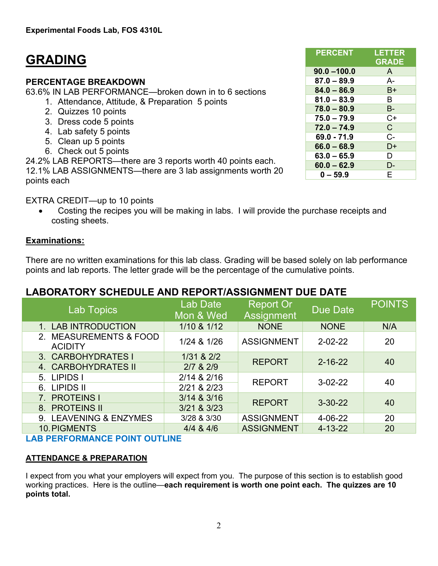# **GRADING**

### **PERCENTAGE BREAKDOWN**

63.6% IN LAB PERFORMANCE—broken down in to 6 sections

- 1. Attendance, Attitude, & Preparation 5 points
	- 2. Quizzes 10 points
- 3. Dress code 5 points
- 4. Lab safety 5 points
- 5. Clean up 5 points
- 6. Check out 5 points

24.2% LAB REPORTS—there are 3 reports worth 40 points each.

12.1% LAB ASSIGNMENTS—there are 3 lab assignments worth 20 points each

EXTRA CREDIT—up to 10 points

• Costing the recipes you will be making in labs. I will provide the purchase receipts and costing sheets.

## **Examinations:**

There are no written examinations for this lab class. Grading will be based solely on lab performance points and lab reports. The letter grade will be the percentage of the cumulative points.

# **LABORATORY SCHEDULE AND REPORT/ASSIGNMENT DUE DATE**

| Lab Topics                               | Lab Date<br>Mon & Wed | <b>Report Or</b><br>Assignment | <b>Due Date</b> | <b>POINTS</b> |
|------------------------------------------|-----------------------|--------------------------------|-----------------|---------------|
| 1. LAB INTRODUCTION                      | 1/10 & 1/12           | <b>NONE</b>                    | <b>NONE</b>     | N/A           |
| 2. MEASUREMENTS & FOOD<br><b>ACIDITY</b> | 1/24 & 1/26           | <b>ASSIGNMENT</b>              | $2 - 02 - 22$   | 20            |
| 3. CARBOHYDRATES I                       | 1/31 & 2/2            | <b>REPORT</b>                  | $2 - 16 - 22$   | 40            |
| 4. CARBOHYDRATES II                      | $2/7$ & $2/9$         |                                |                 |               |
| 5. LIPIDS I                              | 2/14 & 2/16           | <b>REPORT</b>                  | $3-02-22$       | 40            |
| 6. LIPIDS II                             | 2/21 & 2/23           |                                |                 |               |
| 7. PROTEINS I                            | 3/14 & 3/16           | <b>REPORT</b>                  | $3 - 30 - 22$   |               |
| 8. PROTEINS II                           | 3/21 & 3/23           |                                |                 | 40            |
| 9. LEAVENING & ENZYMES                   | 3/28 & 3/30           | <b>ASSIGNMENT</b>              | 4-06-22         | 20            |
| 10. PIGMENTS                             | $4/4$ & $4/6$         | <b>ASSIGNMENT</b>              | $4 - 13 - 22$   | 20            |

**LAB PERFORMANCE POINT OUTLINE**

## **ATTENDANCE & PREPARATION**

I expect from you what your employers will expect from you. The purpose of this section is to establish good working practices. Here is the outline—**each requirement is worth one point each. The quizzes are 10 points total.** 

| <b>PERCENT</b> | <b>LETTER</b><br><b>GRADE</b> |
|----------------|-------------------------------|
| $90.0 - 100.0$ | A                             |
| $87.0 - 89.9$  | $A -$                         |
| $84.0 - 86.9$  | B+                            |
| $81.0 - 83.9$  | B                             |
| $78.0 - 80.9$  | В-                            |
| $75.0 - 79.9$  | $C+$                          |
| $72.0 - 74.9$  | $\mathsf{C}$                  |
| 69.0 - 71.9    | $C -$                         |
| $66.0 - 68.9$  | D+                            |
| $63.0 - 65.9$  | D                             |
| $60.0 - 62.9$  | D-                            |
| $0 - 59.9$     | E                             |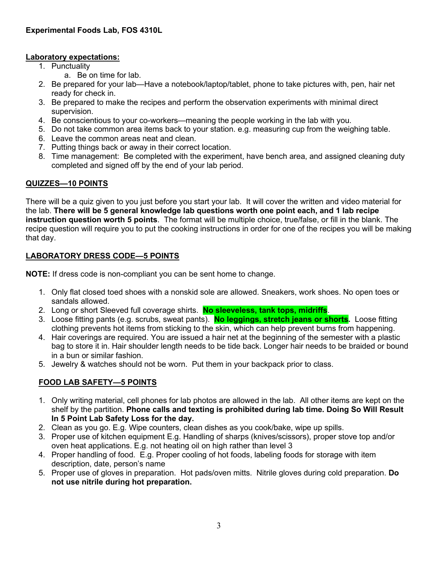#### **Laboratory expectations:**

- 1. Punctuality
	- a. Be on time for lab.
- 2. Be prepared for your lab—Have a notebook/laptop/tablet, phone to take pictures with, pen, hair net ready for check in.
- 3. Be prepared to make the recipes and perform the observation experiments with minimal direct supervision.
- 4. Be conscientious to your co-workers—meaning the people working in the lab with you.
- 5. Do not take common area items back to your station. e.g. measuring cup from the weighing table.
- 6. Leave the common areas neat and clean.
- 7. Putting things back or away in their correct location.
- 8. Time management: Be completed with the experiment, have bench area, and assigned cleaning duty completed and signed off by the end of your lab period.

#### **QUIZZES—10 POINTS**

There will be a quiz given to you just before you start your lab. It will cover the written and video material for the lab. **There will be 5 general knowledge lab questions worth one point each, and 1 lab recipe instruction question worth 5 points**. The format will be multiple choice, true/false, or fill in the blank. The recipe question will require you to put the cooking instructions in order for one of the recipes you will be making that day.

#### **LABORATORY DRESS CODE—5 POINTS**

**NOTE:** If dress code is non-compliant you can be sent home to change.

- 1. Only flat closed toed shoes with a nonskid sole are allowed. Sneakers, work shoes. No open toes or sandals allowed.
- 2. Long or short Sleeved full coverage shirts. **No sleeveless, tank tops, midriffs**.
- 3. Loose fitting pants (e.g. scrubs, sweat pants). **No leggings, stretch jeans or shorts.** Loose fitting clothing prevents hot items from sticking to the skin, which can help prevent burns from happening.
- 4. Hair coverings are required. You are issued a hair net at the beginning of the semester with a plastic bag to store it in. Hair shoulder length needs to be tide back. Longer hair needs to be braided or bound in a bun or similar fashion.
- 5. Jewelry & watches should not be worn. Put them in your backpack prior to class.

#### **FOOD LAB SAFETY—5 POINTS**

- 1. Only writing material, cell phones for lab photos are allowed in the lab. All other items are kept on the shelf by the partition. **Phone calls and texting is prohibited during lab time. Doing So Will Result In 5 Point Lab Safety Loss for the day.**
- 2. Clean as you go. E.g. Wipe counters, clean dishes as you cook/bake, wipe up spills.
- 3. Proper use of kitchen equipment E.g. Handling of sharps (knives/scissors), proper stove top and/or oven heat applications. E.g. not heating oil on high rather than level 3
- 4. Proper handling of food. E.g. Proper cooling of hot foods, labeling foods for storage with item description, date, person's name
- 5. Proper use of gloves in preparation. Hot pads/oven mitts. Nitrile gloves during cold preparation. **Do not use nitrile during hot preparation.**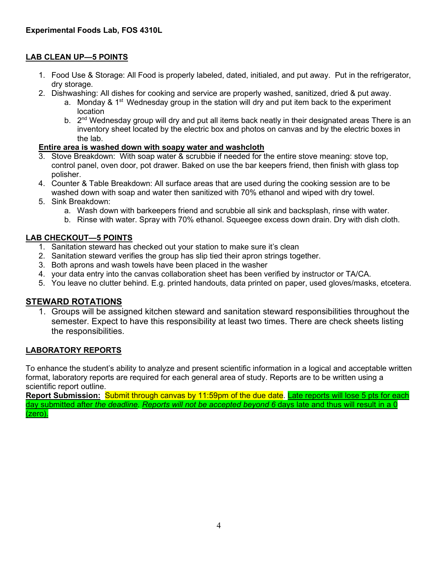#### **LAB CLEAN UP—5 POINTS**

- 1. Food Use & Storage: All Food is properly labeled, dated, initialed, and put away. Put in the refrigerator, dry storage.
- 2. Dishwashing: All dishes for cooking and service are properly washed, sanitized, dried & put away.
	- a. Monday & 1<sup>st</sup> Wednesday group in the station will dry and put item back to the experiment location
		- b. 2<sup>nd</sup> Wednesday group will dry and put all items back neatly in their designated areas There is an inventory sheet located by the electric box and photos on canvas and by the electric boxes in the lab.

#### **Entire area is washed down with soapy water and washcloth**

- 3. Stove Breakdown: With soap water & scrubbie if needed for the entire stove meaning: stove top, control panel, oven door, pot drawer. Baked on use the bar keepers friend, then finish with glass top polisher.
- 4. Counter & Table Breakdown: All surface areas that are used during the cooking session are to be washed down with soap and water then sanitized with 70% ethanol and wiped with dry towel.
- 5. Sink Breakdown:
	- a. Wash down with barkeepers friend and scrubbie all sink and backsplash, rinse with water.
	- b. Rinse with water. Spray with 70% ethanol. Squeegee excess down drain. Dry with dish cloth.

#### **LAB CHECKOUT—5 POINTS**

- 1. Sanitation steward has checked out your station to make sure it's clean
- 2. Sanitation steward verifies the group has slip tied their apron strings together.
- 3. Both aprons and wash towels have been placed in the washer
- 4. your data entry into the canvas collaboration sheet has been verified by instructor or TA/CA.
- 5. You leave no clutter behind. E.g. printed handouts, data printed on paper, used gloves/masks, etcetera.

#### **STEWARD ROTATIONS**

1. Groups will be assigned kitchen steward and sanitation steward responsibilities throughout the semester. Expect to have this responsibility at least two times. There are check sheets listing the responsibilities.

#### **LABORATORY REPORTS**

To enhance the student's ability to analyze and present scientific information in a logical and acceptable written format, laboratory reports are required for each general area of study. Reports are to be written using a scientific report outline.

**Report Submission:** Submit through canvas by 11:59pm of the due date. Late reports will lose 5 pts for each day submitted after *the deadline. Reports will not be accepted beyond 6* days late and thus will result in a 0 (zero).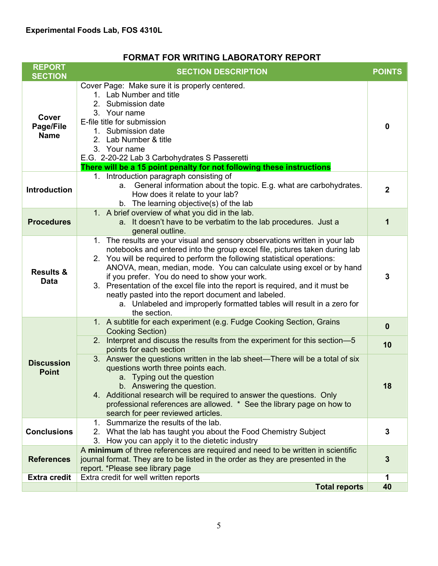## **FORMAT FOR WRITING LABORATORY REPORT**

| <b>REPORT</b><br><b>SECTION</b>          | <b>SECTION DESCRIPTION</b>                                                                                                                                                                                                                                                                                                                                                                                                                                                                                                                                                                      | <b>POINTS</b>  |
|------------------------------------------|-------------------------------------------------------------------------------------------------------------------------------------------------------------------------------------------------------------------------------------------------------------------------------------------------------------------------------------------------------------------------------------------------------------------------------------------------------------------------------------------------------------------------------------------------------------------------------------------------|----------------|
| <b>Cover</b><br>Page/File<br><b>Name</b> | Cover Page: Make sure it is properly centered.<br>1. Lab Number and title<br>2. Submission date<br>3. Your name<br>E-file title for submission<br>1. Submission date<br>2. Lab Number & title<br>3. Your name<br>E.G. 2-20-22 Lab 3 Carbohydrates S Passeretti<br>There will be a 15 point penalty for not following these instructions                                                                                                                                                                                                                                                         | $\mathbf 0$    |
| <b>Introduction</b>                      | 1. Introduction paragraph consisting of<br>General information about the topic. E.g. what are carbohydrates.<br>a.<br>How does it relate to your lab?<br>b. The learning objective(s) of the lab                                                                                                                                                                                                                                                                                                                                                                                                | $\overline{2}$ |
| <b>Procedures</b>                        | 1. A brief overview of what you did in the lab.<br>a. It doesn't have to be verbatim to the lab procedures. Just a<br>general outline.                                                                                                                                                                                                                                                                                                                                                                                                                                                          | 1              |
| <b>Results &amp;</b><br><b>Data</b>      | 1. The results are your visual and sensory observations written in your lab<br>notebooks and entered into the group excel file, pictures taken during lab<br>2. You will be required to perform the following statistical operations:<br>ANOVA, mean, median, mode. You can calculate using excel or by hand<br>if you prefer. You do need to show your work.<br>3. Presentation of the excel file into the report is required, and it must be<br>neatly pasted into the report document and labeled.<br>a. Unlabeled and improperly formatted tables will result in a zero for<br>the section. | 3              |
|                                          | 1. A subtitle for each experiment (e.g. Fudge Cooking Section, Grains<br><b>Cooking Section)</b>                                                                                                                                                                                                                                                                                                                                                                                                                                                                                                | $\bf{0}$       |
| <b>Discussion</b><br><b>Point</b>        | 2. Interpret and discuss the results from the experiment for this section-5<br>points for each section                                                                                                                                                                                                                                                                                                                                                                                                                                                                                          | 10             |
|                                          | 3. Answer the questions written in the lab sheet—There will be a total of six<br>questions worth three points each.<br>a. Typing out the question<br>b. Answering the question.<br>4. Additional research will be required to answer the questions. Only<br>professional references are allowed. * See the library page on how to<br>search for peer reviewed articles.                                                                                                                                                                                                                         | 18             |
| <b>Conclusions</b>                       | 1. Summarize the results of the lab.<br>2. What the lab has taught you about the Food Chemistry Subject<br>3. How you can apply it to the dietetic industry                                                                                                                                                                                                                                                                                                                                                                                                                                     | 3              |
| <b>References</b>                        | A minimum of three references are required and need to be written in scientific<br>journal format. They are to be listed in the order as they are presented in the<br>report. *Please see library page                                                                                                                                                                                                                                                                                                                                                                                          | 3              |
| <b>Extra credit</b>                      | Extra credit for well written reports                                                                                                                                                                                                                                                                                                                                                                                                                                                                                                                                                           |                |
|                                          | <b>Total reports</b>                                                                                                                                                                                                                                                                                                                                                                                                                                                                                                                                                                            | 40             |